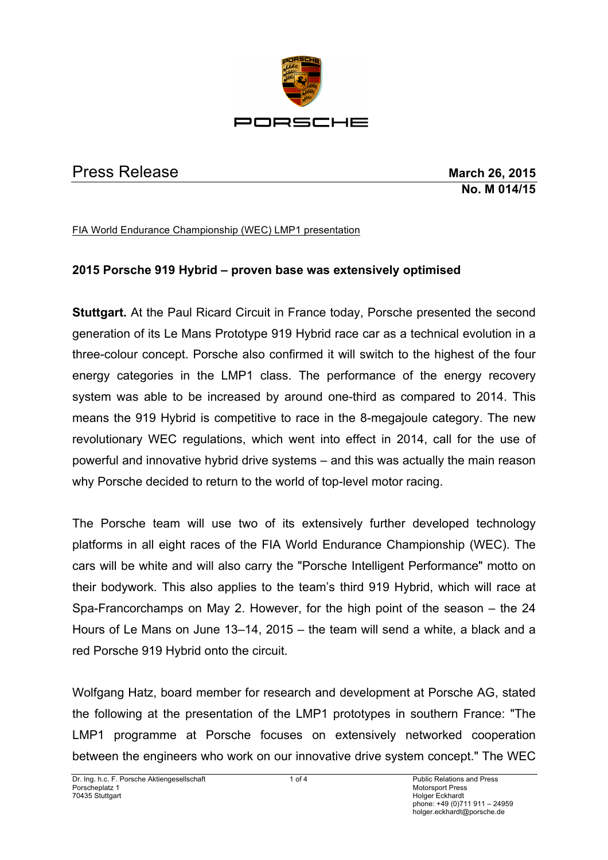

## Press Release **March 26, 2015**

**No. M 014/15**

FIA World Endurance Championship (WEC) LMP1 presentation

## **2015 Porsche 919 Hybrid – proven base was extensively optimised**

**Stuttgart.** At the Paul Ricard Circuit in France today, Porsche presented the second generation of its Le Mans Prototype 919 Hybrid race car as a technical evolution in a three-colour concept. Porsche also confirmed it will switch to the highest of the four energy categories in the LMP1 class. The performance of the energy recovery system was able to be increased by around one-third as compared to 2014. This means the 919 Hybrid is competitive to race in the 8-megajoule category. The new revolutionary WEC regulations, which went into effect in 2014, call for the use of powerful and innovative hybrid drive systems – and this was actually the main reason why Porsche decided to return to the world of top-level motor racing.

The Porsche team will use two of its extensively further developed technology platforms in all eight races of the FIA World Endurance Championship (WEC). The cars will be white and will also carry the "Porsche Intelligent Performance" motto on their bodywork. This also applies to the team's third 919 Hybrid, which will race at Spa-Francorchamps on May 2. However, for the high point of the season – the 24 Hours of Le Mans on June 13–14, 2015 – the team will send a white, a black and a red Porsche 919 Hybrid onto the circuit.

Wolfgang Hatz, board member for research and development at Porsche AG, stated the following at the presentation of the LMP1 prototypes in southern France: "The LMP1 programme at Porsche focuses on extensively networked cooperation between the engineers who work on our innovative drive system concept." The WEC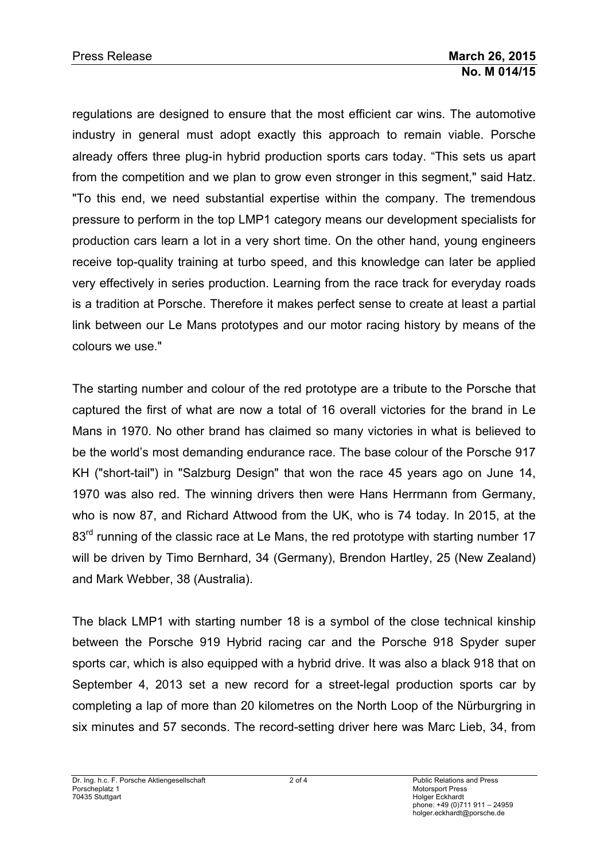regulations are designed to ensure that the most efficient car wins. The automotive industry in general must adopt exactly this approach to remain viable. Porsche already offers three plug-in hybrid production sports cars today. "This sets us apart from the competition and we plan to grow even stronger in this segment," said Hatz. "To this end, we need substantial expertise within the company. The tremendous pressure to perform in the top LMP1 category means our development specialists for production cars learn a lot in a very short time. On the other hand, young engineers receive top-quality training at turbo speed, and this knowledge can later be applied very effectively in series production. Learning from the race track for everyday roads is a tradition at Porsche. Therefore it makes perfect sense to create at least a partial link between our Le Mans prototypes and our motor racing history by means of the colours we use."

The starting number and colour of the red prototype are a tribute to the Porsche that captured the first of what are now a total of 16 overall victories for the brand in Le Mans in 1970. No other brand has claimed so many victories in what is believed to be the world's most demanding endurance race. The base colour of the Porsche 917 KH ("short-tail") in "Salzburg Design" that won the race 45 years ago on June 14, 1970 was also red. The winning drivers then were Hans Herrmann from Germany, who is now 87, and Richard Attwood from the UK, who is 74 today. In 2015, at the 83<sup>rd</sup> running of the classic race at Le Mans, the red prototype with starting number 17 will be driven by Timo Bernhard, 34 (Germany), Brendon Hartley, 25 (New Zealand) and Mark Webber, 38 (Australia).

The black LMP1 with starting number 18 is a symbol of the close technical kinship between the Porsche 919 Hybrid racing car and the Porsche 918 Spyder super sports car, which is also equipped with a hybrid drive. It was also a black 918 that on September 4, 2013 set a new record for a street-legal production sports car by completing a lap of more than 20 kilometres on the North Loop of the Nürburgring in six minutes and 57 seconds. The record-setting driver here was Marc Lieb, 34, from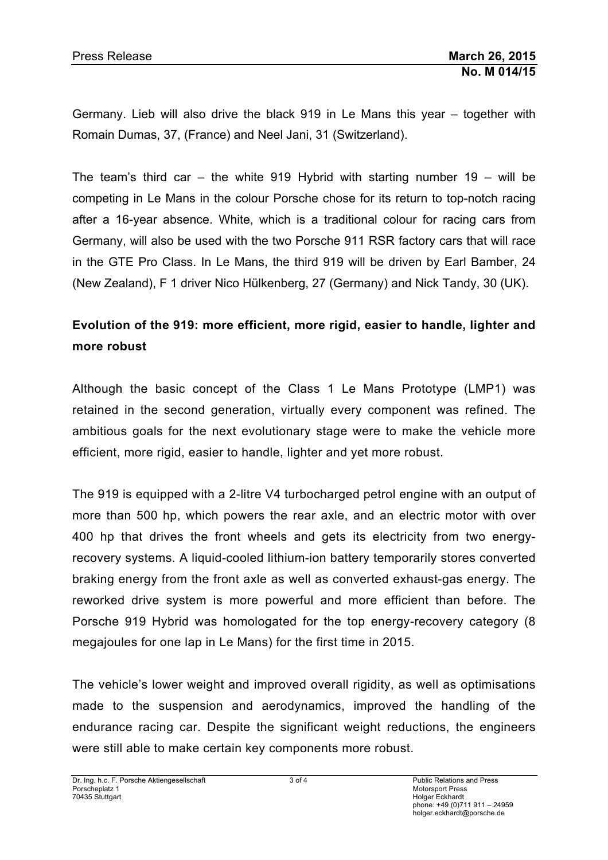Germany. Lieb will also drive the black 919 in Le Mans this year – together with Romain Dumas, 37, (France) and Neel Jani, 31 (Switzerland).

The team's third car – the white 919 Hybrid with starting number 19 – will be competing in Le Mans in the colour Porsche chose for its return to top-notch racing after a 16-year absence. White, which is a traditional colour for racing cars from Germany, will also be used with the two Porsche 911 RSR factory cars that will race in the GTE Pro Class. In Le Mans, the third 919 will be driven by Earl Bamber, 24 (New Zealand), F 1 driver Nico Hülkenberg, 27 (Germany) and Nick Tandy, 30 (UK).

## **Evolution of the 919: more efficient, more rigid, easier to handle, lighter and more robust**

Although the basic concept of the Class 1 Le Mans Prototype (LMP1) was retained in the second generation, virtually every component was refined. The ambitious goals for the next evolutionary stage were to make the vehicle more efficient, more rigid, easier to handle, lighter and yet more robust.

The 919 is equipped with a 2-litre V4 turbocharged petrol engine with an output of more than 500 hp, which powers the rear axle, and an electric motor with over 400 hp that drives the front wheels and gets its electricity from two energyrecovery systems. A liquid-cooled lithium-ion battery temporarily stores converted braking energy from the front axle as well as converted exhaust-gas energy. The reworked drive system is more powerful and more efficient than before. The Porsche 919 Hybrid was homologated for the top energy-recovery category (8 megajoules for one lap in Le Mans) for the first time in 2015.

The vehicle's lower weight and improved overall rigidity, as well as optimisations made to the suspension and aerodynamics, improved the handling of the endurance racing car. Despite the significant weight reductions, the engineers were still able to make certain key components more robust.